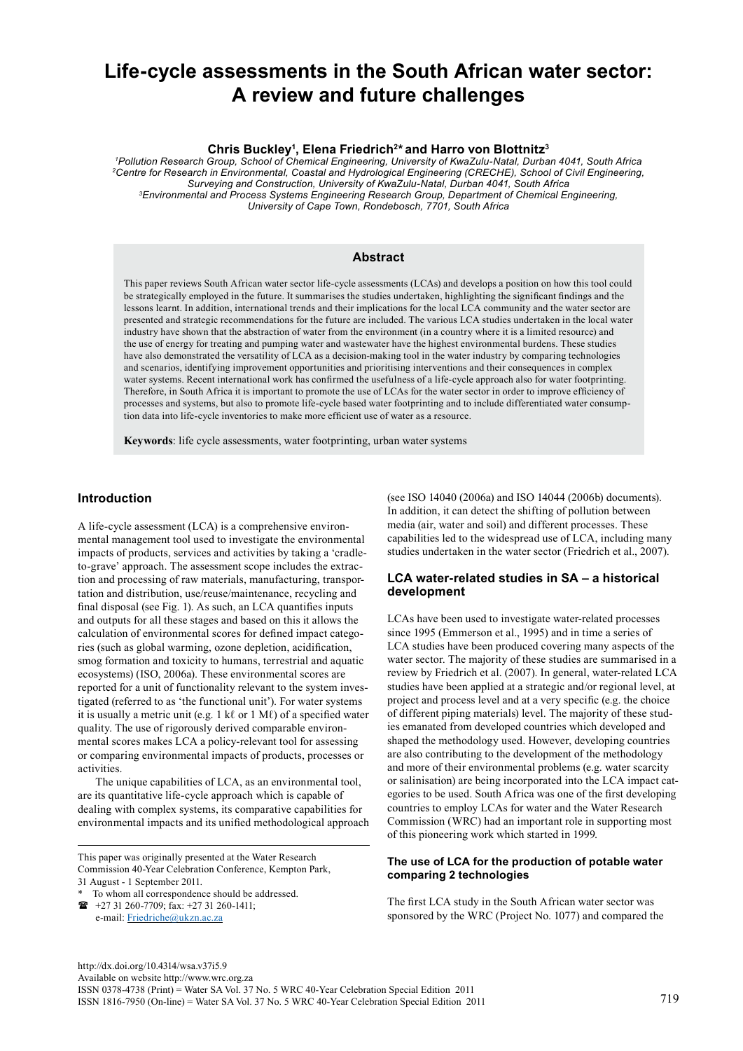# **Life-cycle assessments in the South African water sector: A review and future challenges**

#### **Chris Buckley1 , Elena Friedrich2\* and Harro von Blottnitz3**

*1 Pollution Research Group, School of Chemical Engineering, University of KwaZulu-Natal, Durban 4041, South Africa 2Centre for Research in Environmental, Coastal and Hydrological Engineering (CRECHE), School of Civil Engineering, Surveying and Construction, University of KwaZulu-Natal, Durban 4041, South Africa 3Environmental and Process Systems Engineering Research Group, Department of Chemical Engineering, University of Cape Town, Rondebosch, 7701, South Africa*

#### **Abstract**

This paper reviews South African water sector life-cycle assessments (LCAs) and develops a position on how this tool could be strategically employed in the future. It summarises the studies undertaken, highlighting the significant findings and the lessons learnt. In addition, international trends and their implications for the local LCA community and the water sector are presented and strategic recommendations for the future are included. The various LCA studies undertaken in the local water industry have shown that the abstraction of water from the environment (in a country where it is a limited resource) and the use of energy for treating and pumping water and wastewater have the highest environmental burdens. These studies have also demonstrated the versatility of LCA as a decision-making tool in the water industry by comparing technologies and scenarios, identifying improvement opportunities and prioritising interventions and their consequences in complex water systems. Recent international work has confirmed the usefulness of a life-cycle approach also for water footprinting. Therefore, in South Africa it is important to promote the use of LCAs for the water sector in order to improve efficiency of processes and systems, but also to promote life-cycle based water footprinting and to include differentiated water consumption data into life-cycle inventories to make more efficient use of water as a resource.

**Keywords**: life cycle assessments, water footprinting, urban water systems

## **Introduction**

A life-cycle assessment (LCA) is a comprehensive environmental management tool used to investigate the environmental impacts of products, services and activities by taking a 'cradleto-grave' approach. The assessment scope includes the extraction and processing of raw materials, manufacturing, transportation and distribution, use/reuse/maintenance, recycling and final disposal (see Fig. 1). As such, an LCA quantifies inputs and outputs for all these stages and based on this it allows the calculation of environmental scores for defined impact categories (such as global warming, ozone depletion, acidification, smog formation and toxicity to humans, terrestrial and aquatic ecosystems) (ISO, 2006a). These environmental scores are reported for a unit of functionality relevant to the system investigated (referred to as 'the functional unit'). For water systems it is usually a metric unit (e.g. 1 kℓ or 1 Mℓ) of a specified water quality. The use of rigorously derived comparable environmental scores makes LCA a policy-relevant tool for assessing or comparing environmental impacts of products, processes or activities.

The unique capabilities of LCA, as an environmental tool, are its quantitative life-cycle approach which is capable of dealing with complex systems, its comparative capabilities for environmental impacts and its unified methodological approach

This paper was originally presented at the Water Research Commission 40-Year Celebration Conference, Kempton Park, 31 August - 1 September 2011.

To whom all correspondence should be addressed. +27 31 260-7709; fax: +27 31 260-1411;

e-mail: [Friedriche@ukzn.ac.za](mailto:Friedriche@ukzn.ac.za) 

(see ISO 14040 (2006a) and ISO 14044 (2006b) documents). In addition, it can detect the shifting of pollution between media (air, water and soil) and different processes. These capabilities led to the widespread use of LCA, including many studies undertaken in the water sector (Friedrich et al., 2007).

#### **LCA water-related studies in SA – a historical development**

LCAs have been used to investigate water-related processes since 1995 (Emmerson et al., 1995) and in time a series of LCA studies have been produced covering many aspects of the water sector. The majority of these studies are summarised in a review by Friedrich et al. (2007). In general, water-related LCA studies have been applied at a strategic and/or regional level, at project and process level and at a very specific (e.g. the choice of different piping materials) level. The majority of these studies emanated from developed countries which developed and shaped the methodology used. However, developing countries are also contributing to the development of the methodology and more of their environmental problems (e.g. water scarcity or salinisation) are being incorporated into the LCA impact categories to be used. South Africa was one of the first developing countries to employ LCAs for water and the Water Research Commission (WRC) had an important role in supporting most of this pioneering work which started in 1999.

#### **The use of LCA for the production of potable water comparing 2 technologies**

The first LCA study in the South African water sector was sponsored by the WRC (Project No. 1077) and compared the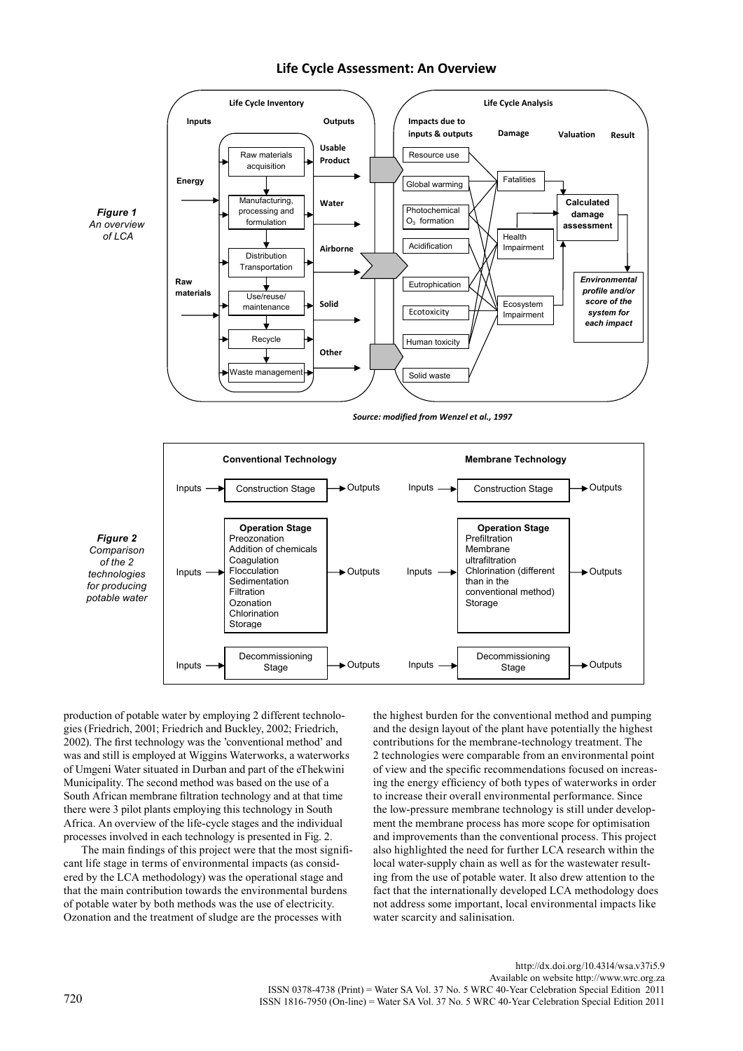# **Life Cycle Assessment: An Overview**



production of potable water by employing 2 different technologies (Friedrich, 2001; Friedrich and Buckley, 2002; Friedrich, 2002). The first technology was the 'conventional method' and was and still is employed at Wiggins Waterworks, a waterworks of Umgeni Water situated in Durban and part of the eThekwini Municipality. The second method was based on the use of a South African membrane filtration technology and at that time there were 3 pilot plants employing this technology in South Africa. An overview of the life-cycle stages and the individual processes involved in each technology is presented in Fig. 2.

The main findings of this project were that the most significant life stage in terms of environmental impacts (as considered by the LCA methodology) was the operational stage and that the main contribution towards the environmental burdens of potable water by both methods was the use of electricity. Ozonation and the treatment of sludge are the processes with

the highest burden for the conventional method and pumping and the design layout of the plant have potentially the highest contributions for the membrane-technology treatment. The 2 technologies were comparable from an environmental point of view and the specific recommendations focused on increasing the energy efficiency of both types of waterworks in order to increase their overall environmental performance. Since the low-pressure membrane technology is still under development the membrane process has more scope for optimisation and improvements than the conventional process. This project also highlighted the need for further LCA research within the local water-supply chain as well as for the wastewater resulting from the use of potable water. It also drew attention to the fact that the internationally developed LCA methodology does not address some important, local environmental impacts like water scarcity and salinisation.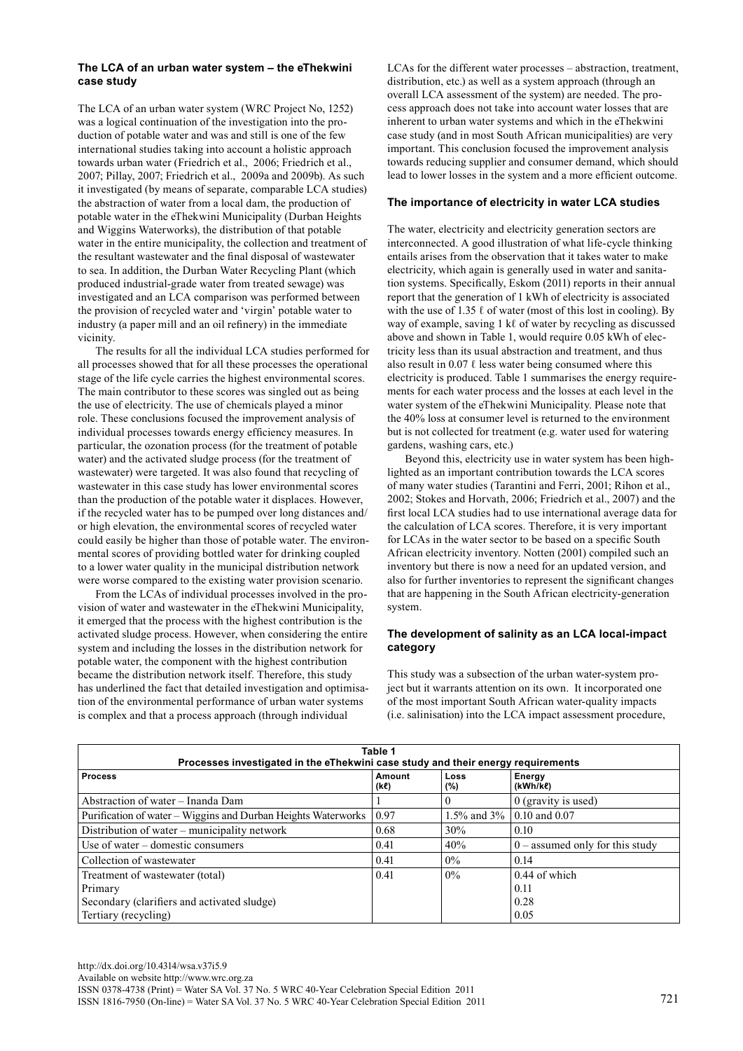#### **The LCA of an urban water system – the eThekwini case study**

The LCA of an urban water system (WRC Project No, 1252) was a logical continuation of the investigation into the production of potable water and was and still is one of the few international studies taking into account a holistic approach towards urban water (Friedrich et al., 2006; Friedrich et al., 2007; Pillay, 2007; Friedrich et al., 2009a and 2009b). As such it investigated (by means of separate, comparable LCA studies) the abstraction of water from a local dam, the production of potable water in the eThekwini Municipality (Durban Heights and Wiggins Waterworks), the distribution of that potable water in the entire municipality, the collection and treatment of the resultant wastewater and the final disposal of wastewater to sea. In addition, the Durban Water Recycling Plant (which produced industrial-grade water from treated sewage) was investigated and an LCA comparison was performed between the provision of recycled water and 'virgin' potable water to industry (a paper mill and an oil refinery) in the immediate vicinity.

The results for all the individual LCA studies performed for all processes showed that for all these processes the operational stage of the life cycle carries the highest environmental scores. The main contributor to these scores was singled out as being the use of electricity. The use of chemicals played a minor role. These conclusions focused the improvement analysis of individual processes towards energy efficiency measures. In particular, the ozonation process (for the treatment of potable water) and the activated sludge process (for the treatment of wastewater) were targeted. It was also found that recycling of wastewater in this case study has lower environmental scores than the production of the potable water it displaces. However, if the recycled water has to be pumped over long distances and/ or high elevation, the environmental scores of recycled water could easily be higher than those of potable water. The environmental scores of providing bottled water for drinking coupled to a lower water quality in the municipal distribution network were worse compared to the existing water provision scenario.

From the LCAs of individual processes involved in the provision of water and wastewater in the eThekwini Municipality, it emerged that the process with the highest contribution is the activated sludge process. However, when considering the entire system and including the losses in the distribution network for potable water, the component with the highest contribution became the distribution network itself. Therefore, this study has underlined the fact that detailed investigation and optimisation of the environmental performance of urban water systems is complex and that a process approach (through individual

LCAs for the different water processes – abstraction, treatment, distribution, etc.) as well as a system approach (through an overall LCA assessment of the system) are needed. The process approach does not take into account water losses that are inherent to urban water systems and which in the eThekwini case study (and in most South African municipalities) are very important. This conclusion focused the improvement analysis towards reducing supplier and consumer demand, which should lead to lower losses in the system and a more efficient outcome.

## **The importance of electricity in water LCA studies**

The water, electricity and electricity generation sectors are interconnected. A good illustration of what life-cycle thinking entails arises from the observation that it takes water to make electricity, which again is generally used in water and sanitation systems. Specifically, Eskom (2011) reports in their annual report that the generation of 1 kWh of electricity is associated with the use of 1.35  $\ell$  of water (most of this lost in cooling). By way of example, saving 1 kℓ of water by recycling as discussed above and shown in Table 1, would require 0.05 kWh of electricity less than its usual abstraction and treatment, and thus also result in 0.07  $\ell$  less water being consumed where this electricity is produced. Table 1 summarises the energy requirements for each water process and the losses at each level in the water system of the eThekwini Municipality. Please note that the 40% loss at consumer level is returned to the environment but is not collected for treatment (e.g. water used for watering gardens, washing cars, etc.)

Beyond this, electricity use in water system has been highlighted as an important contribution towards the LCA scores of many water studies (Tarantini and Ferri, 2001; Rihon et al., 2002; Stokes and Horvath, 2006; Friedrich et al., 2007) and the first local LCA studies had to use international average data for the calculation of LCA scores. Therefore, it is very important for LCAs in the water sector to be based on a specific South African electricity inventory. Notten (2001) compiled such an inventory but there is now a need for an updated version, and also for further inventories to represent the significant changes that are happening in the South African electricity-generation system.

## **The development of salinity as an LCA local-impact category**

This study was a subsection of the urban water-system project but it warrants attention on its own. It incorporated one of the most important South African water-quality impacts (i.e. salinisation) into the LCA impact assessment procedure,

| Table 1<br>Processes investigated in the eThekwini case study and their energy requirements |                |                |                                   |
|---------------------------------------------------------------------------------------------|----------------|----------------|-----------------------------------|
| <b>Process</b>                                                                              | Amount<br>(kC) | Loss<br>(%)    | Energy<br>(kWh/k <sub>e</sub> )   |
| Abstraction of water – Inanda Dam                                                           |                | 0              | $0$ (gravity is used)             |
| Purification of water - Wiggins and Durban Heights Waterworks                               | 0.97           | 1.5% and $3\%$ | $0.10$ and $0.07$                 |
| Distribution of water – municipality network                                                | 0.68           | 30%            | 0.10                              |
| Use of water – domestic consumers                                                           | 0.41           | 40%            | $0$ – assumed only for this study |
| Collection of wastewater                                                                    | 0.41           | $0\%$          | 0.14                              |
| Treatment of wastewater (total)                                                             | 0.41           | $0\%$          | $0.44$ of which                   |
| Primary                                                                                     |                |                | 0.11                              |
| Secondary (clarifiers and activated sludge)                                                 |                |                | 0.28                              |
| Tertiary (recycling)                                                                        |                |                | 0.05                              |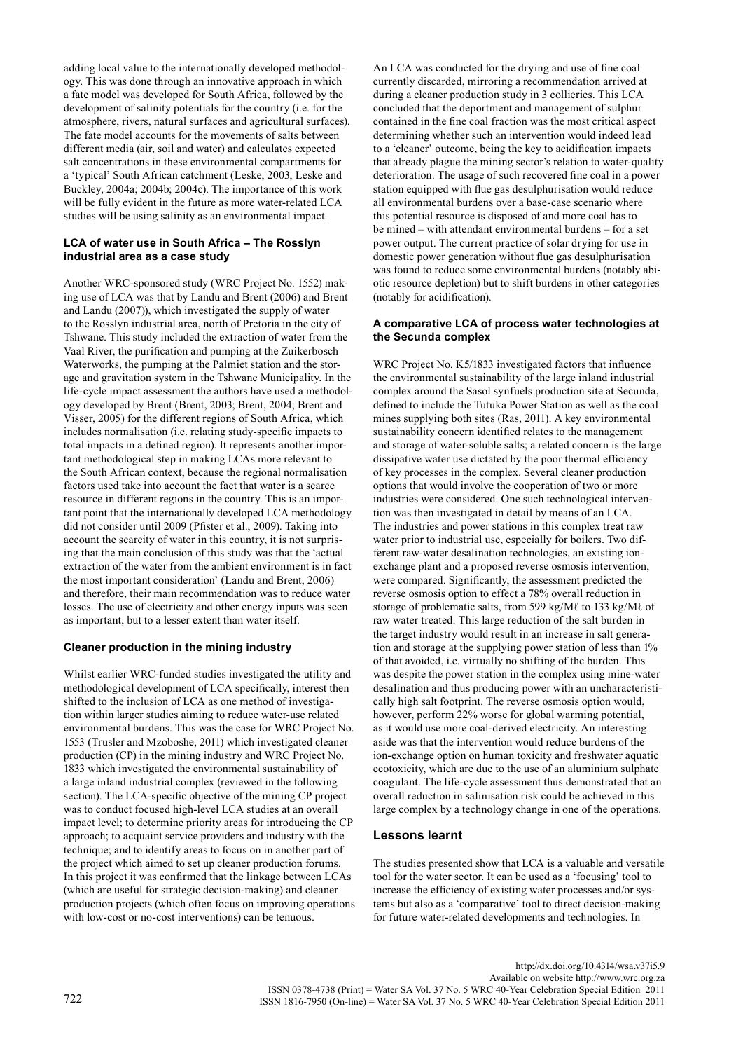adding local value to the internationally developed methodology. This was done through an innovative approach in which a fate model was developed for South Africa, followed by the development of salinity potentials for the country (i.e. for the atmosphere, rivers, natural surfaces and agricultural surfaces). The fate model accounts for the movements of salts between different media (air, soil and water) and calculates expected salt concentrations in these environmental compartments for a 'typical' South African catchment (Leske, 2003; Leske and Buckley, 2004a; 2004b; 2004c). The importance of this work will be fully evident in the future as more water-related LCA studies will be using salinity as an environmental impact.

## **LCA of water use in South Africa – The Rosslyn industrial area as a case study**

Another WRC-sponsored study (WRC Project No. 1552) making use of LCA was that by Landu and Brent (2006) and Brent and Landu (2007)), which investigated the supply of water to the Rosslyn industrial area, north of Pretoria in the city of Tshwane. This study included the extraction of water from the Vaal River, the purification and pumping at the Zuikerbosch Waterworks, the pumping at the Palmiet station and the storage and gravitation system in the Tshwane Municipality. In the life-cycle impact assessment the authors have used a methodology developed by Brent (Brent, 2003; Brent, 2004; Brent and Visser, 2005) for the different regions of South Africa, which includes normalisation (i.e. relating study-specific impacts to total impacts in a defined region). It represents another important methodological step in making LCAs more relevant to the South African context, because the regional normalisation factors used take into account the fact that water is a scarce resource in different regions in the country. This is an important point that the internationally developed LCA methodology did not consider until 2009 (Pfister et al., 2009). Taking into account the scarcity of water in this country, it is not surprising that the main conclusion of this study was that the 'actual extraction of the water from the ambient environment is in fact the most important consideration' (Landu and Brent, 2006) and therefore, their main recommendation was to reduce water losses. The use of electricity and other energy inputs was seen as important, but to a lesser extent than water itself.

# **Cleaner production in the mining industry**

Whilst earlier WRC-funded studies investigated the utility and methodological development of LCA specifically, interest then shifted to the inclusion of LCA as one method of investigation within larger studies aiming to reduce water-use related environmental burdens. This was the case for WRC Project No. 1553 (Trusler and Mzoboshe, 2011) which investigated cleaner production (CP) in the mining industry and WRC Project No. 1833 which investigated the environmental sustainability of a large inland industrial complex (reviewed in the following section). The LCA-specific objective of the mining CP project was to conduct focused high-level LCA studies at an overall impact level; to determine priority areas for introducing the CP approach; to acquaint service providers and industry with the technique; and to identify areas to focus on in another part of the project which aimed to set up cleaner production forums. In this project it was confirmed that the linkage between LCAs (which are useful for strategic decision-making) and cleaner production projects (which often focus on improving operations with low-cost or no-cost interventions) can be tenuous.

An LCA was conducted for the drying and use of fine coal currently discarded, mirroring a recommendation arrived at during a cleaner production study in 3 collieries. This LCA concluded that the deportment and management of sulphur contained in the fine coal fraction was the most critical aspect determining whether such an intervention would indeed lead to a 'cleaner' outcome, being the key to acidification impacts that already plague the mining sector's relation to water-quality deterioration. The usage of such recovered fine coal in a power station equipped with flue gas desulphurisation would reduce all environmental burdens over a base-case scenario where this potential resource is disposed of and more coal has to be mined – with attendant environmental burdens – for a set power output. The current practice of solar drying for use in domestic power generation without flue gas desulphurisation was found to reduce some environmental burdens (notably abiotic resource depletion) but to shift burdens in other categories (notably for acidification).

#### **A comparative LCA of process water technologies at the Secunda complex**

WRC Project No. K5/1833 investigated factors that influence the environmental sustainability of the large inland industrial complex around the Sasol synfuels production site at Secunda, defined to include the Tutuka Power Station as well as the coal mines supplying both sites (Ras, 2011). A key environmental sustainability concern identified relates to the management and storage of water-soluble salts; a related concern is the large dissipative water use dictated by the poor thermal efficiency of key processes in the complex. Several cleaner production options that would involve the cooperation of two or more industries were considered. One such technological intervention was then investigated in detail by means of an LCA. The industries and power stations in this complex treat raw water prior to industrial use, especially for boilers. Two different raw-water desalination technologies, an existing ionexchange plant and a proposed reverse osmosis intervention, were compared. Significantly, the assessment predicted the reverse osmosis option to effect a 78% overall reduction in storage of problematic salts, from 599 kg/Mℓ to 133 kg/Mℓ of raw water treated. This large reduction of the salt burden in the target industry would result in an increase in salt generation and storage at the supplying power station of less than 1% of that avoided, i.e. virtually no shifting of the burden. This was despite the power station in the complex using mine-water desalination and thus producing power with an uncharacteristically high salt footprint. The reverse osmosis option would, however, perform 22% worse for global warming potential, as it would use more coal-derived electricity. An interesting aside was that the intervention would reduce burdens of the ion-exchange option on human toxicity and freshwater aquatic ecotoxicity, which are due to the use of an aluminium sulphate coagulant. The life-cycle assessment thus demonstrated that an overall reduction in salinisation risk could be achieved in this large complex by a technology change in one of the operations.

#### **Lessons learnt**

The studies presented show that LCA is a valuable and versatile tool for the water sector. It can be used as a 'focusing' tool to increase the efficiency of existing water processes and/or systems but also as a 'comparative' tool to direct decision-making for future water-related developments and technologies. In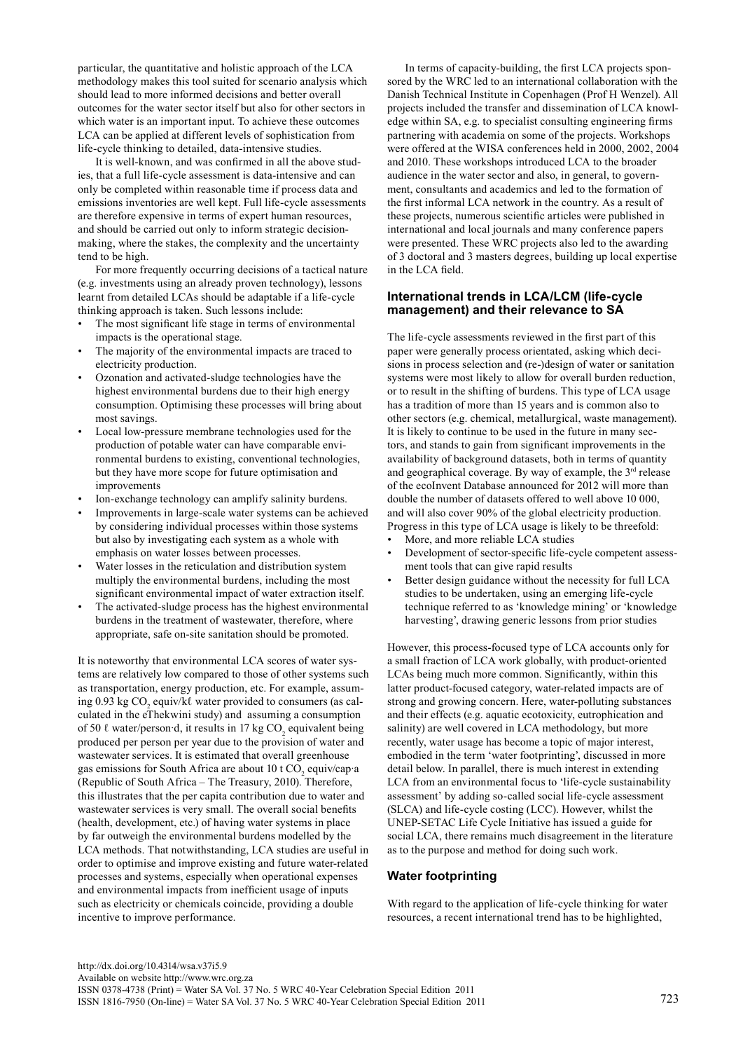particular, the quantitative and holistic approach of the LCA methodology makes this tool suited for scenario analysis which should lead to more informed decisions and better overall outcomes for the water sector itself but also for other sectors in which water is an important input. To achieve these outcomes LCA can be applied at different levels of sophistication from life-cycle thinking to detailed, data-intensive studies.

It is well-known, and was confirmed in all the above studies, that a full life-cycle assessment is data-intensive and can only be completed within reasonable time if process data and emissions inventories are well kept. Full life-cycle assessments are therefore expensive in terms of expert human resources, and should be carried out only to inform strategic decisionmaking, where the stakes, the complexity and the uncertainty tend to be high.

For more frequently occurring decisions of a tactical nature (e.g. investments using an already proven technology), lessons learnt from detailed LCAs should be adaptable if a life-cycle thinking approach is taken. Such lessons include:

- The most significant life stage in terms of environmental impacts is the operational stage.
- The majority of the environmental impacts are traced to electricity production.
- Ozonation and activated-sludge technologies have the highest environmental burdens due to their high energy consumption. Optimising these processes will bring about most savings.
- Local low-pressure membrane technologies used for the production of potable water can have comparable environmental burdens to existing, conventional technologies, but they have more scope for future optimisation and improvements
- Ion-exchange technology can amplify salinity burdens.
- Improvements in large-scale water systems can be achieved by considering individual processes within those systems but also by investigating each system as a whole with emphasis on water losses between processes.
- Water losses in the reticulation and distribution system multiply the environmental burdens, including the most significant environmental impact of water extraction itself.
- The activated-sludge process has the highest environmental burdens in the treatment of wastewater, therefore, where appropriate, safe on-site sanitation should be promoted.

It is noteworthy that environmental LCA scores of water systems are relatively low compared to those of other systems such as transportation, energy production, etc. For example, assuming 0.93 kg  $CO_2$  equiv/kℓ water provided to consumers (as calculated in the eThekwini study) and assuming a consumption of 50  $\ell$  water/person d, it results in 17 kg CO<sub>2</sub> equivalent being produced per person per year due to the provision of water and wastewater services. It is estimated that overall greenhouse gas emissions for South Africa are about  $10$  t CO<sub>2</sub> equiv/cap a (Republic of South Africa – The Treasury, 2010). Therefore, this illustrates that the per capita contribution due to water and wastewater services is very small. The overall social benefits (health, development, etc.) of having water systems in place by far outweigh the environmental burdens modelled by the LCA methods. That notwithstanding, LCA studies are useful in order to optimise and improve existing and future water-related processes and systems, especially when operational expenses and environmental impacts from inefficient usage of inputs such as electricity or chemicals coincide, providing a double incentive to improve performance.

In terms of capacity-building, the first LCA projects sponsored by the WRC led to an international collaboration with the Danish Technical Institute in Copenhagen (Prof H Wenzel). All projects included the transfer and dissemination of LCA knowledge within SA, e.g. to specialist consulting engineering firms partnering with academia on some of the projects. Workshops were offered at the WISA conferences held in 2000, 2002, 2004 and 2010. These workshops introduced LCA to the broader audience in the water sector and also, in general, to government, consultants and academics and led to the formation of the first informal LCA network in the country. As a result of these projects, numerous scientific articles were published in international and local journals and many conference papers were presented. These WRC projects also led to the awarding of 3 doctoral and 3 masters degrees, building up local expertise in the LCA field.

# **International trends in LCA/LCM (life-cycle management) and their relevance to SA**

The life-cycle assessments reviewed in the first part of this paper were generally process orientated, asking which decisions in process selection and (re-)design of water or sanitation systems were most likely to allow for overall burden reduction, or to result in the shifting of burdens. This type of LCA usage has a tradition of more than 15 years and is common also to other sectors (e.g. chemical, metallurgical, waste management). It is likely to continue to be used in the future in many sectors, and stands to gain from significant improvements in the availability of background datasets, both in terms of quantity and geographical coverage. By way of example, the 3<sup>rd</sup> release of the ecoInvent Database announced for 2012 will more than double the number of datasets offered to well above 10 000, and will also cover 90% of the global electricity production. Progress in this type of LCA usage is likely to be threefold:

- More, and more reliable LCA studies
- Development of sector-specific life-cycle competent assessment tools that can give rapid results
- Better design guidance without the necessity for full LCA studies to be undertaken, using an emerging life-cycle technique referred to as 'knowledge mining' or 'knowledge harvesting', drawing generic lessons from prior studies

However, this process-focused type of LCA accounts only for a small fraction of LCA work globally, with product-oriented LCAs being much more common. Significantly, within this latter product-focused category, water-related impacts are of strong and growing concern. Here, water-polluting substances and their effects (e.g. aquatic ecotoxicity, eutrophication and salinity) are well covered in LCA methodology, but more recently, water usage has become a topic of major interest, embodied in the term 'water footprinting', discussed in more detail below. In parallel, there is much interest in extending LCA from an environmental focus to 'life-cycle sustainability assessment' by adding so-called social life-cycle assessment (SLCA) and life-cycle costing (LCC). However, whilst the UNEP-SETAC Life Cycle Initiative has issued a guide for social LCA, there remains much disagreement in the literature as to the purpose and method for doing such work.

# **Water footprinting**

With regard to the application of life-cycle thinking for water resources, a recent international trend has to be highlighted,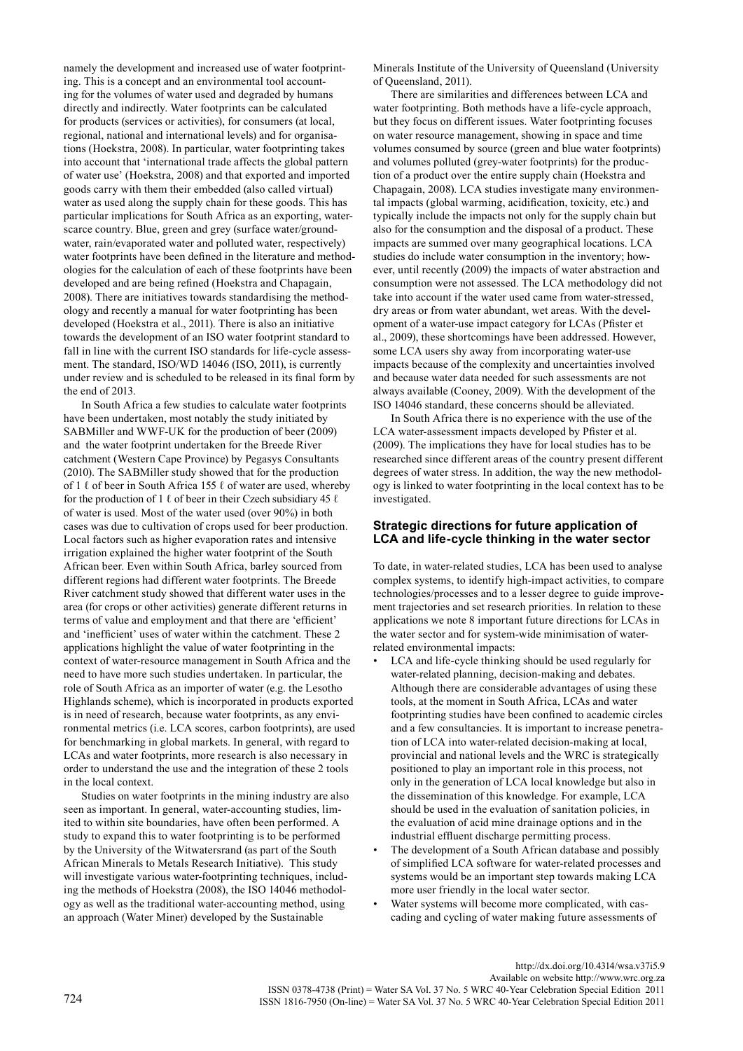namely the development and increased use of water footprinting. This is a concept and an environmental tool accounting for the volumes of water used and degraded by humans directly and indirectly. Water footprints can be calculated for products (services or activities), for consumers (at local, regional, national and international levels) and for organisations (Hoekstra, 2008). In particular, water footprinting takes into account that 'international trade affects the global pattern of water use' (Hoekstra, 2008) and that exported and imported goods carry with them their embedded (also called virtual) water as used along the supply chain for these goods. This has particular implications for South Africa as an exporting, waterscarce country. Blue, green and grey (surface water/groundwater, rain/evaporated water and polluted water, respectively) water footprints have been defined in the literature and methodologies for the calculation of each of these footprints have been developed and are being refined (Hoekstra and Chapagain, 2008). There are initiatives towards standardising the methodology and recently a manual for water footprinting has been developed (Hoekstra et al., 2011). There is also an initiative towards the development of an ISO water footprint standard to fall in line with the current ISO standards for life-cycle assessment. The standard, ISO/WD 14046 (ISO, 2011), is currently under review and is scheduled to be released in its final form by the end of 2013.

In South Africa a few studies to calculate water footprints have been undertaken, most notably the study initiated by SABMiller and WWF-UK for the production of beer (2009) and the water footprint undertaken for the Breede River catchment (Western Cape Province) by Pegasys Consultants (2010). The SABMiller study showed that for the production of 1 ℓ of beer in South Africa 155 ℓ of water are used, whereby for the production of 1  $\ell$  of beer in their Czech subsidiary 45  $\ell$ of water is used. Most of the water used (over 90%) in both cases was due to cultivation of crops used for beer production. Local factors such as higher evaporation rates and intensive irrigation explained the higher water footprint of the South African beer. Even within South Africa, barley sourced from different regions had different water footprints. The Breede River catchment study showed that different water uses in the area (for crops or other activities) generate different returns in terms of value and employment and that there are 'efficient' and 'inefficient' uses of water within the catchment. These 2 applications highlight the value of water footprinting in the context of water-resource management in South Africa and the need to have more such studies undertaken. In particular, the role of South Africa as an importer of water (e.g. the Lesotho Highlands scheme), which is incorporated in products exported is in need of research, because water footprints, as any environmental metrics (i.e. LCA scores, carbon footprints), are used for benchmarking in global markets. In general, with regard to LCAs and water footprints, more research is also necessary in order to understand the use and the integration of these 2 tools in the local context.

Studies on water footprints in the mining industry are also seen as important. In general, water-accounting studies, limited to within site boundaries, have often been performed. A study to expand this to water footprinting is to be performed by the University of the Witwatersrand (as part of the South African Minerals to Metals Research Initiative). This study will investigate various water-footprinting techniques, including the methods of Hoekstra (2008), the ISO 14046 methodology as well as the traditional water-accounting method, using an approach (Water Miner) developed by the Sustainable

Minerals Institute of the University of Queensland (University of Queensland, 2011).

There are similarities and differences between LCA and water footprinting. Both methods have a life-cycle approach, but they focus on different issues. Water footprinting focuses on water resource management, showing in space and time volumes consumed by source (green and blue water footprints) and volumes polluted (grey-water footprints) for the production of a product over the entire supply chain (Hoekstra and Chapagain, 2008). LCA studies investigate many environmental impacts (global warming, acidification, toxicity, etc.) and typically include the impacts not only for the supply chain but also for the consumption and the disposal of a product. These impacts are summed over many geographical locations. LCA studies do include water consumption in the inventory; however, until recently (2009) the impacts of water abstraction and consumption were not assessed. The LCA methodology did not take into account if the water used came from water-stressed, dry areas or from water abundant, wet areas. With the development of a water-use impact category for LCAs (Pfister et al., 2009), these shortcomings have been addressed. However, some LCA users shy away from incorporating water-use impacts because of the complexity and uncertainties involved and because water data needed for such assessments are not always available (Cooney, 2009). With the development of the ISO 14046 standard, these concerns should be alleviated.

In South Africa there is no experience with the use of the LCA water-assessment impacts developed by Pfister et al. (2009). The implications they have for local studies has to be researched since different areas of the country present different degrees of water stress. In addition, the way the new methodology is linked to water footprinting in the local context has to be investigated.

## **Strategic directions for future application of LCA and life-cycle thinking in the water sector**

To date, in water-related studies, LCA has been used to analyse complex systems, to identify high-impact activities, to compare technologies/processes and to a lesser degree to guide improvement trajectories and set research priorities. In relation to these applications we note 8 important future directions for LCAs in the water sector and for system-wide minimisation of waterrelated environmental impacts:

- LCA and life-cycle thinking should be used regularly for water-related planning, decision-making and debates. Although there are considerable advantages of using these tools, at the moment in South Africa, LCAs and water footprinting studies have been confined to academic circles and a few consultancies. It is important to increase penetration of LCA into water-related decision-making at local, provincial and national levels and the WRC is strategically positioned to play an important role in this process, not only in the generation of LCA local knowledge but also in the dissemination of this knowledge. For example, LCA should be used in the evaluation of sanitation policies, in the evaluation of acid mine drainage options and in the industrial effluent discharge permitting process.
- The development of a South African database and possibly of simplified LCA software for water-related processes and systems would be an important step towards making LCA more user friendly in the local water sector.
- Water systems will become more complicated, with cascading and cycling of water making future assessments of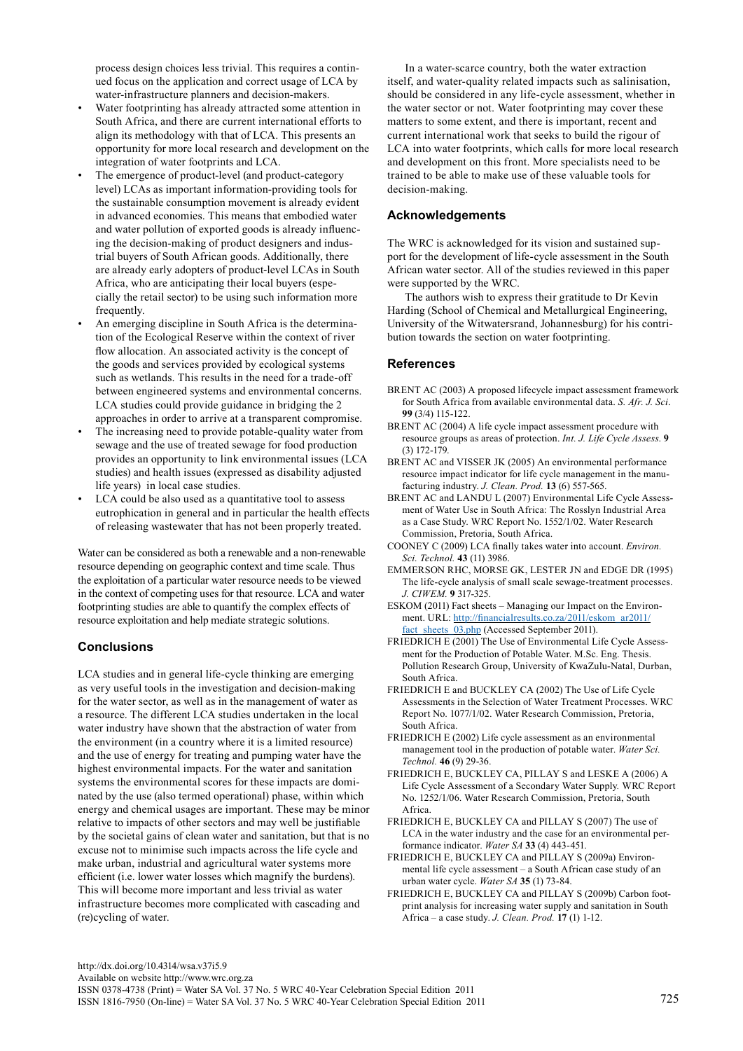process design choices less trivial. This requires a continued focus on the application and correct usage of LCA by water-infrastructure planners and decision-makers.

- Water footprinting has already attracted some attention in South Africa, and there are current international efforts to align its methodology with that of LCA. This presents an opportunity for more local research and development on the integration of water footprints and LCA.
- The emergence of product-level (and product-category level) LCAs as important information-providing tools for the sustainable consumption movement is already evident in advanced economies. This means that embodied water and water pollution of exported goods is already influencing the decision-making of product designers and industrial buyers of South African goods. Additionally, there are already early adopters of product-level LCAs in South Africa, who are anticipating their local buyers (especially the retail sector) to be using such information more frequently.
- An emerging discipline in South Africa is the determination of the Ecological Reserve within the context of river flow allocation. An associated activity is the concept of the goods and services provided by ecological systems such as wetlands. This results in the need for a trade-off between engineered systems and environmental concerns. LCA studies could provide guidance in bridging the 2 approaches in order to arrive at a transparent compromise.
- The increasing need to provide potable-quality water from sewage and the use of treated sewage for food production provides an opportunity to link environmental issues (LCA studies) and health issues (expressed as disability adjusted life years) in local case studies.
- LCA could be also used as a quantitative tool to assess eutrophication in general and in particular the health effects of releasing wastewater that has not been properly treated.

Water can be considered as both a renewable and a non-renewable resource depending on geographic context and time scale. Thus the exploitation of a particular water resource needs to be viewed in the context of competing uses for that resource. LCA and water footprinting studies are able to quantify the complex effects of resource exploitation and help mediate strategic solutions.

# **Conclusions**

LCA studies and in general life-cycle thinking are emerging as very useful tools in the investigation and decision-making for the water sector, as well as in the management of water as a resource. The different LCA studies undertaken in the local water industry have shown that the abstraction of water from the environment (in a country where it is a limited resource) and the use of energy for treating and pumping water have the highest environmental impacts. For the water and sanitation systems the environmental scores for these impacts are dominated by the use (also termed operational) phase, within which energy and chemical usages are important. These may be minor relative to impacts of other sectors and may well be justifiable by the societal gains of clean water and sanitation, but that is no excuse not to minimise such impacts across the life cycle and make urban, industrial and agricultural water systems more efficient (i.e. lower water losses which magnify the burdens). This will become more important and less trivial as water infrastructure becomes more complicated with cascading and (re)cycling of water.

In a water-scarce country, both the water extraction itself, and water-quality related impacts such as salinisation, should be considered in any life-cycle assessment, whether in the water sector or not. Water footprinting may cover these matters to some extent, and there is important, recent and current international work that seeks to build the rigour of LCA into water footprints, which calls for more local research and development on this front. More specialists need to be trained to be able to make use of these valuable tools for decision-making.

# **Acknowledgements**

The WRC is acknowledged for its vision and sustained support for the development of life-cycle assessment in the South African water sector. All of the studies reviewed in this paper were supported by the WRC.

The authors wish to express their gratitude to Dr Kevin Harding (School of Chemical and Metallurgical Engineering, University of the Witwatersrand, Johannesburg) for his contribution towards the section on water footprinting.

# **References**

- BRENT AC (2003) A proposed lifecycle impact assessment framework for South Africa from available environmental data. *S. Afr. J. Sci*. **99** (3/4) 115-122.
- BRENT AC (2004) A life cycle impact assessment procedure with resource groups as areas of protection. *Int. J. Life Cycle Assess*. **9** (3) 172-179.
- BRENT AC and VISSER JK (2005) An environmental performance resource impact indicator for life cycle management in the manufacturing industry. *J. Clean. Prod.* **13** (6) 557-565.
- BRENT AC and LANDU L (2007) Environmental Life Cycle Assessment of Water Use in South Africa: The Rosslyn Industrial Area as a Case Study. WRC Report No. 1552/1/02. Water Research Commission, Pretoria, South Africa.
- COONEY C (2009) LCA finally takes water into account. *Environ. Sci. Technol.* **43** (11) 3986.
- EMMERSON RHC, MORSE GK, LESTER JN and EDGE DR (1995) The life-cycle analysis of small scale sewage-treatment processes. *J. CIWEM.* **9** 317-325.
- ESKOM (2011) Fact sheets Managing our Impact on the Environment. URL: [http://financialresults.co.za/2011/eskom\\_ar2011/](http://financialresults.co.za/2011/eskom_ar2011/fact_sheets_03.php) [fact\\_sheets\\_03.php](http://financialresults.co.za/2011/eskom_ar2011/fact_sheets_03.php) (Accessed September 2011).
- FRIEDRICH E (2001) The Use of Environmental Life Cycle Assessment for the Production of Potable Water. M.Sc. Eng. Thesis. Pollution Research Group, University of KwaZulu-Natal, Durban, South Africa.
- FRIEDRICH E and BUCKLEY CA (2002) The Use of Life Cycle Assessments in the Selection of Water Treatment Processes. WRC Report No. 1077/1/02. Water Research Commission, Pretoria, South Africa.
- FRIEDRICH E (2002) Life cycle assessment as an environmental management tool in the production of potable water. *Water Sci. Technol.* **46** (9) 29-36.
- FRIEDRICH E, BUCKLEY CA, PILLAY S and LESKE A (2006) A Life Cycle Assessment of a Secondary Water Supply*.* WRC Report No. 1252/1/06. Water Research Commission, Pretoria, South Africa.
- FRIEDRICH E, BUCKLEY CA and PILLAY S (2007) The use of LCA in the water industry and the case for an environmental performance indicator. *Water SA* **33** (4) 443-451.
- FRIEDRICH E, BUCKLEY CA and PILLAY S (2009a) Environmental life cycle assessment – a South African case study of an urban water cycle. *Water SA* **35** (1) 73-84.
- FRIEDRICH E, BUCKLEY CA and PILLAY S (2009b) Carbon footprint analysis for increasing water supply and sanitation in South Africa – a case study. *J. Clean. Prod.* **17** (1) 1-12.